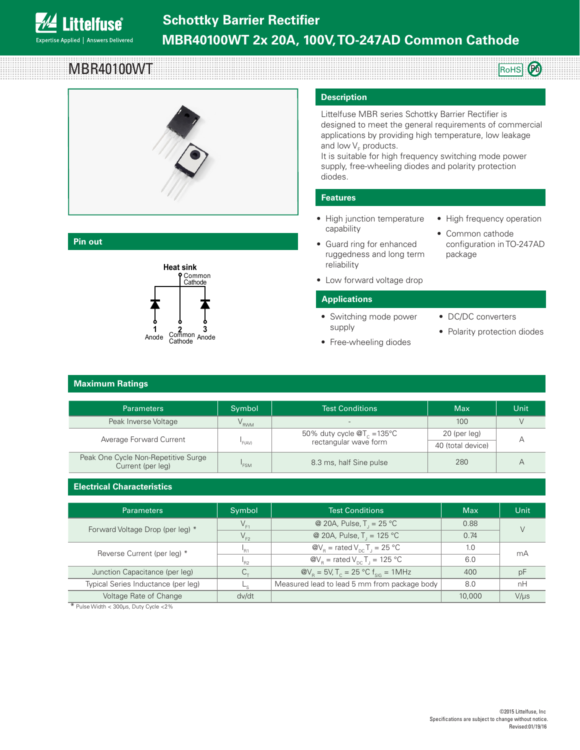

# **Pin out**

MBR40100WT

**ittelfuse** 

Expertise Applied | Answers Delivered



Common Cathode Pinout <sup>3</sup>

### **Description**

Littelfuse MBR series Schottky Barrier Rectifier is designed to meet the general requirements of commercial applications by providing high temperature, low leakage and low V<sub>F</sub> products.

It is suitable for high frequency switching mode power supply, free-wheeling diodes and polarity protection diodes.

## **Features**

- High junction temperature capability
- Guard ring for enhanced ruggedness and long term reliability
- High frequency operation

RoHS **Pb** 

- Common cathode configuration in TO-247AD package
- Low forward voltage drop

### **Applications**

- Switching mode power supply
- Free-wheeling diodes
- DC/DC converters
- Polarity protection diodes

# **Maximum Ratings**

| <b>Parameters</b>                                        | Symbol | <b>Test Conditions</b>                                                  | <b>Max</b>        | Unit |
|----------------------------------------------------------|--------|-------------------------------------------------------------------------|-------------------|------|
| Peak Inverse Voltage                                     | RWM    | $\sim$                                                                  | 100               |      |
| Average Forward Current                                  | 'F(AV) | 50% duty cycle $\mathcal{Q}T_c = 135^{\circ}C$<br>rectangular wave form | 20 (per leg)      |      |
|                                                          |        |                                                                         | 40 (total device) |      |
| Peak One Cycle Non-Repetitive Surge<br>Current (per leg) | 'FSM   | 8.3 ms, half Sine pulse                                                 | 280               |      |

#### **Electrical Characteristics** ITO-220AB

| <b>Parameters</b>                   | Symbol         | <b>Test Conditions</b>                                                    | <b>Max</b> | Unit      |
|-------------------------------------|----------------|---------------------------------------------------------------------------|------------|-----------|
| Forward Voltage Drop (per leg) *    |                | @ 20A, Pulse, $T_1 = 25 °C$                                               | 0.88       |           |
|                                     | $V_{F2}$       | @ 20A, Pulse, $T_1 = 125 °C$                                              | 0.74       |           |
| Reverse Current (per leg) *         | D <sub>1</sub> | $\omega_{\text{R}}$ = rated $V_{\text{DC}}$ T <sub>1</sub> = 25 °C        | 1.0        | mA        |
|                                     | R2             | $\omega_{\text{R}}$ = rated $V_{\text{DC}}$ T <sub>1</sub> = 125 °C       | 6.0        |           |
| Junction Capacitance (per leg)      |                | $\omega_{\text{B}} = 5$ V, T <sub>c</sub> = 25 °C f <sub>sig</sub> = 1MHz | 400        | рF        |
| Typical Series Inductance (per leg) |                | Measured lead to lead 5 mm from package body                              | 8.0        | nH        |
| Voltage Rate of Change              | dv/dt          |                                                                           | 10,000     | $V/\mu s$ |

\* Pulse Width < 300μs, Duty Cycle <2%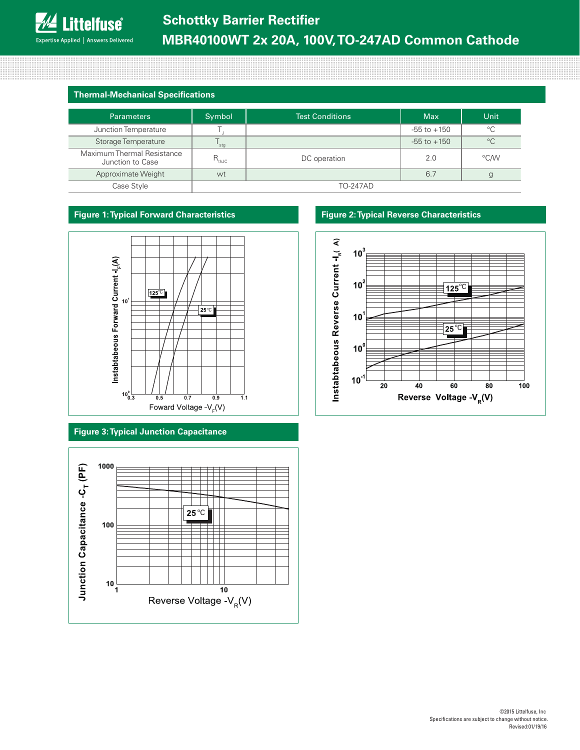# **Thermal-Mechanical Specifications**

| <b>Parameters</b>                              | Symbol          | Test Conditions | <b>Max</b>      | Unit        |
|------------------------------------------------|-----------------|-----------------|-----------------|-------------|
| Junction Temperature                           |                 |                 | $-55$ to $+150$ | $^{\circ}C$ |
| Storage Temperature                            | stg             |                 | $-55$ to $+150$ | $^{\circ}C$ |
| Maximum Thermal Resistance<br>Junction to Case | $R_{thJC}$      | DC operation    | 2.0             | °C/W        |
| Approximate Weight                             | wt              |                 | 6.7             |             |
| Case Style                                     | <b>TO-247AD</b> |                 |                 |             |

# **Figure 1: Typical Forward Characteristics**



# **Figure 3: Typical Junction Capacitance**



## **Figure 2: Typical Reverse Characteristics**